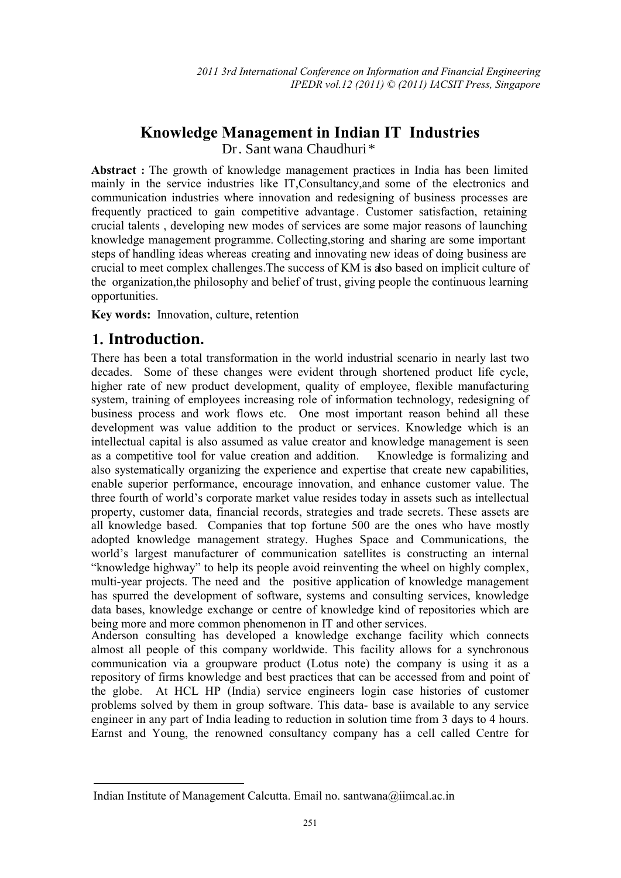# **Knowledge Management in Indian IT Industries**

Dr. Sant wana Chaudhuri \*

**Abstract :** The growth of knowledge management practices in India has been limited mainly in the service industries like IT,Consultancy,and some of the electronics and communication industries where innovation and redesigning of business processes are frequently practiced to gain competitive advantage. Customer satisfaction, retaining crucial talents , developing new modes of services are some major reasons of launching knowledge management programme. Collecting,storing and sharing are some important steps of handling ideas whereas creating and innovating new ideas of doing business are crucial to meet complex challenges.The success of KM is also based on implicit culture of the organization,the philosophy and belief of trust, giving people the continuous learning opportunities.

**Key words:** Innovation, culture, retention

# **Introduction. 1.**

l,

There has been a total transformation in the world industrial scenario in nearly last two decades. Some of these changes were evident through shortened product life cycle, higher rate of new product development, quality of employee, flexible manufacturing system, training of employees increasing role of information technology, redesigning of business process and work flows etc. One most important reason behind all these development was value addition to the product or services. Knowledge which is an intellectual capital is also assumed as value creator and knowledge management is seen as a competitive tool for value creation and addition. Knowledge is formalizing and also systematically organizing the experience and expertise that create new capabilities, enable superior performance, encourage innovation, and enhance customer value. The three fourth of world's corporate market value resides today in assets such as intellectual property, customer data, financial records, strategies and trade secrets. These assets are all knowledge based. Companies that top fortune 500 are the ones who have mostly adopted knowledge management strategy. Hughes Space and Communications, the world's largest manufacturer of communication satellites is constructing an internal "knowledge highway" to help its people avoid reinventing the wheel on highly complex, multi-year projects. The need and the positive application of knowledge management has spurred the development of software, systems and consulting services, knowledge data bases, knowledge exchange or centre of knowledge kind of repositories which are being more and more common phenomenon in IT and other services.

Anderson consulting has developed a knowledge exchange facility which connects almost all people of this company worldwide. This facility allows for a synchronous communication via a groupware product (Lotus note) the company is using it as a repository of firms knowledge and best practices that can be accessed from and point of the globe. At HCL HP (India) service engineers login case histories of customer problems solved by them in group software. This data- base is available to any service engineer in any part of India leading to reduction in solution time from 3 days to 4 hours. Earnst and Young, the renowned consultancy company has a cell called Centre for

Indian Institute of Management Calcutta. Email no. santwana@iimcal.ac.in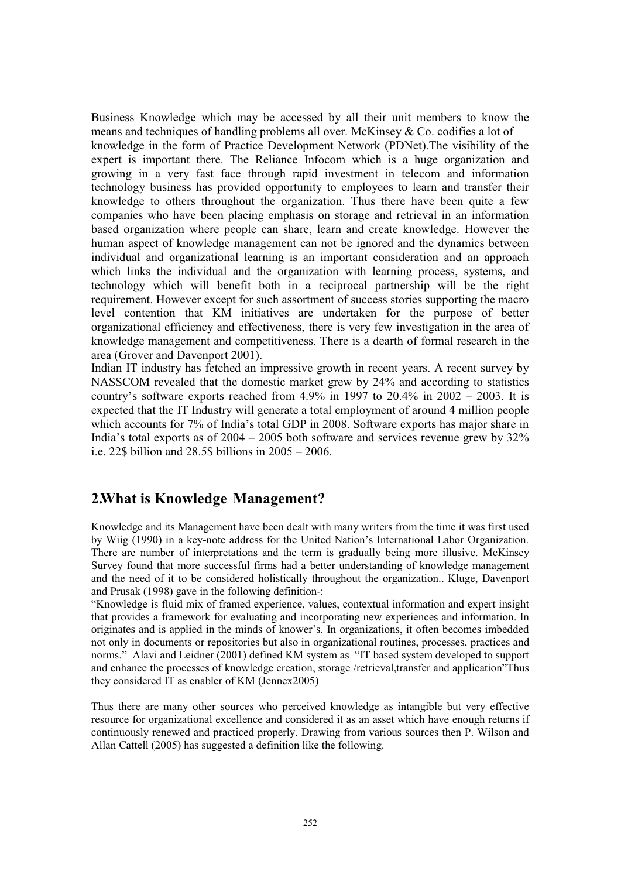Business Knowledge which may be accessed by all their unit members to know the means and techniques of handling problems all over. McKinsey & Co. codifies a lot of knowledge in the form of Practice Development Network (PDNet).The visibility of the expert is important there. The Reliance Infocom which is a huge organization and growing in a very fast face through rapid investment in telecom and information technology business has provided opportunity to employees to learn and transfer their knowledge to others throughout the organization. Thus there have been quite a few companies who have been placing emphasis on storage and retrieval in an information based organization where people can share, learn and create knowledge. However the human aspect of knowledge management can not be ignored and the dynamics between individual and organizational learning is an important consideration and an approach which links the individual and the organization with learning process, systems, and technology which will benefit both in a reciprocal partnership will be the right requirement. However except for such assortment of success stories supporting the macro level contention that KM initiatives are undertaken for the purpose of better organizational efficiency and effectiveness, there is very few investigation in the area of knowledge management and competitiveness. There is a dearth of formal research in the area (Grover and Davenport 2001).

Indian IT industry has fetched an impressive growth in recent years. A recent survey by NASSCOM revealed that the domestic market grew by 24% and according to statistics country's software exports reached from  $4.9\%$  in  $1997$  to  $20.4\%$  in  $2002 - 2003$ . It is expected that the IT Industry will generate a total employment of around 4 million people which accounts for 7% of India's total GDP in 2008. Software exports has major share in India's total exports as of  $2004 - 2005$  both software and services revenue grew by  $32\%$ i.e. 22\$ billion and 28.5\$ billions in 2005 – 2006.

# **2.What is Knowledge Management?**

Knowledge and its Management have been dealt with many writers from the time it was first used by Wiig (1990) in a key-note address for the United Nation's International Labor Organization. There are number of interpretations and the term is gradually being more illusive. McKinsey Survey found that more successful firms had a better understanding of knowledge management and the need of it to be considered holistically throughout the organization.. Kluge, Davenport and Prusak (1998) gave in the following definition-:

"Knowledge is fluid mix of framed experience, values, contextual information and expert insight that provides a framework for evaluating and incorporating new experiences and information. In originates and is applied in the minds of knower's. In organizations, it often becomes imbedded not only in documents or repositories but also in organizational routines, processes, practices and norms." Alavi and Leidner (2001) defined KM system as "IT based system developed to support and enhance the processes of knowledge creation, storage /retrieval,transfer and application"Thus they considered IT as enabler of KM (Jennex2005)

Thus there are many other sources who perceived knowledge as intangible but very effective resource for organizational excellence and considered it as an asset which have enough returns if continuously renewed and practiced properly. Drawing from various sources then P. Wilson and Allan Cattell (2005) has suggested a definition like the following.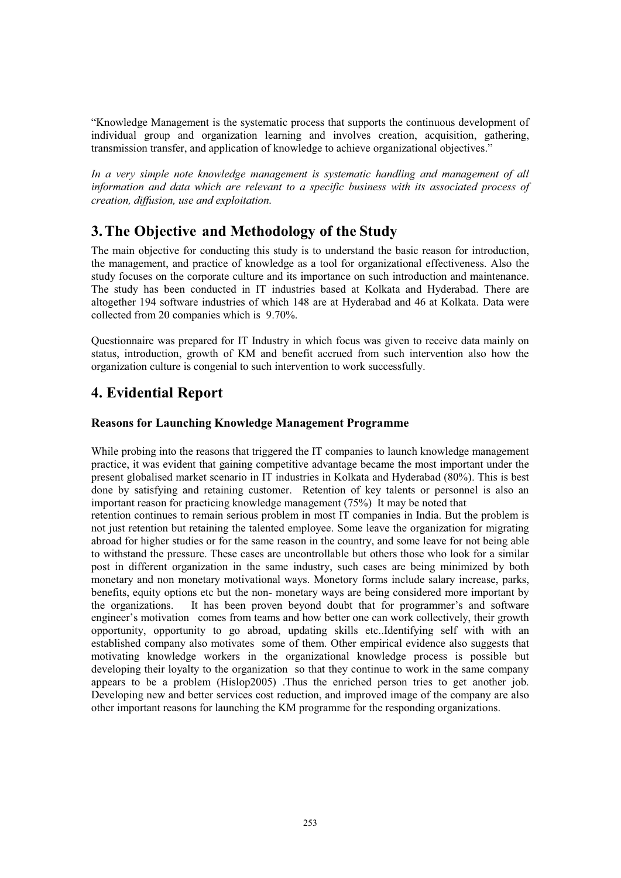"Knowledge Management is the systematic process that supports the continuous development of individual group and organization learning and involves creation, acquisition, gathering, transmission transfer, and application of knowledge to achieve organizational objectives."

In a very simple note knowledge management is systematic handling and management of all *information and data which are relevant to a specific business with its associated process of creation, diffusion, use and exploitation.* 

# **3. The Objective and Methodology of the Study**:

The main objective for conducting this study is to understand the basic reason for introduction, the management, and practice of knowledge as a tool for organizational effectiveness. Also the study focuses on the corporate culture and its importance on such introduction and maintenance. The study has been conducted in IT industries based at Kolkata and Hyderabad. There are altogether 194 software industries of which 148 are at Hyderabad and 46 at Kolkata. Data were collected from 20 companies which is 9.70%.

Questionnaire was prepared for IT Industry in which focus was given to receive data mainly on status, introduction, growth of KM and benefit accrued from such intervention also how the organization culture is congenial to such intervention to work successfully.

# **4. Evidential Report**

## **Reasons for Launching Knowledge Management Programme**

While probing into the reasons that triggered the IT companies to launch knowledge management practice, it was evident that gaining competitive advantage became the most important under the present globalised market scenario in IT industries in Kolkata and Hyderabad (80%). This is best done by satisfying and retaining customer. Retention of key talents or personnel is also an important reason for practicing knowledge management (75%) It may be noted that

retention continues to remain serious problem in most IT companies in India. But the problem is not just retention but retaining the talented employee. Some leave the organization for migrating abroad for higher studies or for the same reason in the country, and some leave for not being able to withstand the pressure. These cases are uncontrollable but others those who look for a similar post in different organization in the same industry, such cases are being minimized by both monetary and non monetary motivational ways. Monetory forms include salary increase, parks, benefits, equity options etc but the non- monetary ways are being considered more important by the organizations. It has been proven beyond doubt that for programmer's and software engineer's motivation comes from teams and how better one can work collectively, their growth opportunity, opportunity to go abroad, updating skills etc..Identifying self with with an established company also motivates some of them. Other empirical evidence also suggests that motivating knowledge workers in the organizational knowledge process is possible but developing their loyalty to the organization so that they continue to work in the same company appears to be a problem (Hislop2005) .Thus the enriched person tries to get another job. Developing new and better services cost reduction, and improved image of the company are also other important reasons for launching the KM programme for the responding organizations.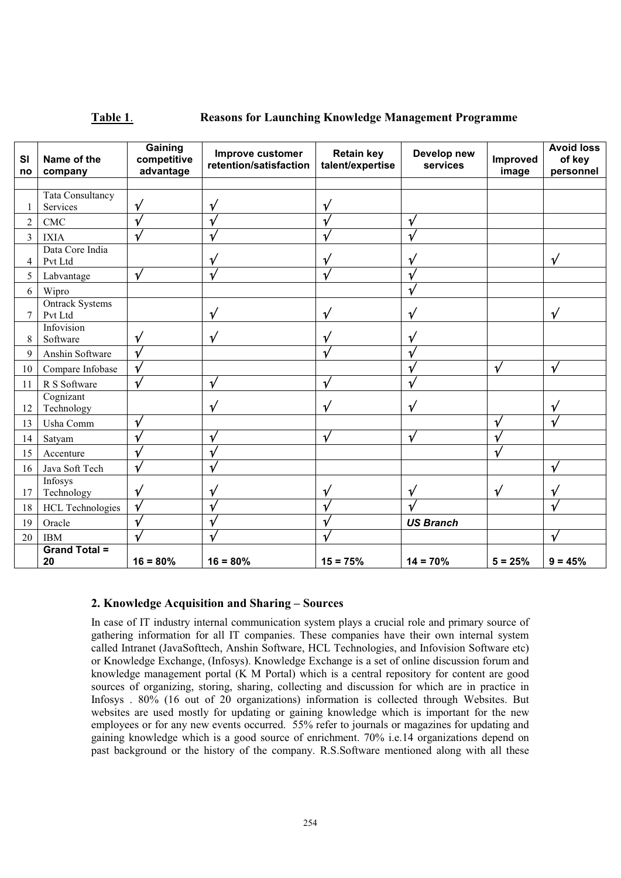#### **Table 1**. **Reasons for Launching Knowledge Management Programme**

| SI<br>no       | Name of the<br>company            | Gaining<br>competitive<br>advantage | Improve customer<br>retention/satisfaction | <b>Retain key</b><br>talent/expertise | Develop new<br>services | Improved<br>image | <b>Avoid loss</b><br>of key<br>personnel |
|----------------|-----------------------------------|-------------------------------------|--------------------------------------------|---------------------------------------|-------------------------|-------------------|------------------------------------------|
|                |                                   |                                     |                                            |                                       |                         |                   |                                          |
| 1              | Tata Consultancy<br>Services      | $\mathcal V$                        | ν                                          |                                       |                         |                   |                                          |
| $\overline{c}$ | <b>CMC</b>                        |                                     |                                            |                                       | ν                       |                   |                                          |
| 3              | <b>IXIA</b>                       |                                     |                                            |                                       | $\mathbf{v}$            |                   |                                          |
| 4              | Data Core India<br>Pvt Ltd        |                                     | ν                                          |                                       | ν                       |                   | $\sqrt{ }$                               |
| 5              | Labvantage                        | $\mathbf v$                         | $\sqrt{ }$                                 |                                       | $\mathbf v$             |                   |                                          |
| 6              | Wipro                             |                                     |                                            |                                       | ν                       |                   |                                          |
| 7              | <b>Ontrack Systems</b><br>Pvt Ltd |                                     | $\mathbf v$                                | $\sqrt{ }$                            | ν                       |                   | $\sqrt{}$                                |
| 8              | Infovision<br>Software            | $\mathbf v$                         | $\mathbf v$                                | ν                                     | ν                       |                   |                                          |
| 9              | Anshin Software                   |                                     |                                            |                                       | 1                       |                   |                                          |
| 10             | Compare Infobase                  | $\mathbf{1}$                        |                                            |                                       | ν                       | $\mathbf v$       | $\sqrt{}$                                |
| 11             | R S Software                      |                                     | $\mathbf{v}$                               |                                       | 1,                      |                   |                                          |
| 12             | Cognizant<br>Technology           |                                     | ν                                          | $\mathbf{v}'$                         | ν                       |                   | ν                                        |
| 13             | Usha Comm                         |                                     |                                            |                                       |                         |                   |                                          |
| 14             | Satyam                            |                                     | v                                          | $\mathbf v$                           | $\mathbf v$             |                   |                                          |
| 15             | Accenture                         |                                     |                                            |                                       |                         |                   |                                          |
| 16             | Java Soft Tech                    |                                     |                                            |                                       |                         |                   | $\mathbf v$                              |
| 17             | Infosys<br>Technology             | $\mathbf v$                         |                                            | ν                                     | $\mathbf v$             | $\mathcal{U}$     | $\mathbf v$                              |
| 18             | <b>HCL Technologies</b>           | $\mathbf{v}$                        |                                            |                                       |                         |                   | $\mathbf{v}$                             |
| 19             | Oracle                            |                                     |                                            |                                       | <b>US Branch</b>        |                   |                                          |
| 20             | <b>IBM</b>                        |                                     |                                            |                                       |                         |                   | ν                                        |
|                | <b>Grand Total =</b><br>20        | $16 = 80%$                          | $16 = 80%$                                 | $15 = 75%$                            | $14 = 70%$              | $5 = 25%$         | $9 = 45%$                                |

#### **2. Knowledge Acquisition and Sharing – Sources**

In case of IT industry internal communication system plays a crucial role and primary source of gathering information for all IT companies. These companies have their own internal system called Intranet (JavaSofttech, Anshin Software, HCL Technologies, and Infovision Software etc) or Knowledge Exchange, (Infosys). Knowledge Exchange is a set of online discussion forum and knowledge management portal (K M Portal) which is a central repository for content are good sources of organizing, storing, sharing, collecting and discussion for which are in practice in Infosys . 80% (16 out of 20 organizations) information is collected through Websites. But websites are used mostly for updating or gaining knowledge which is important for the new employees or for any new events occurred. 55% refer to journals or magazines for updating and gaining knowledge which is a good source of enrichment. 70% i.e.14 organizations depend on past background or the history of the company. R.S.Software mentioned along with all these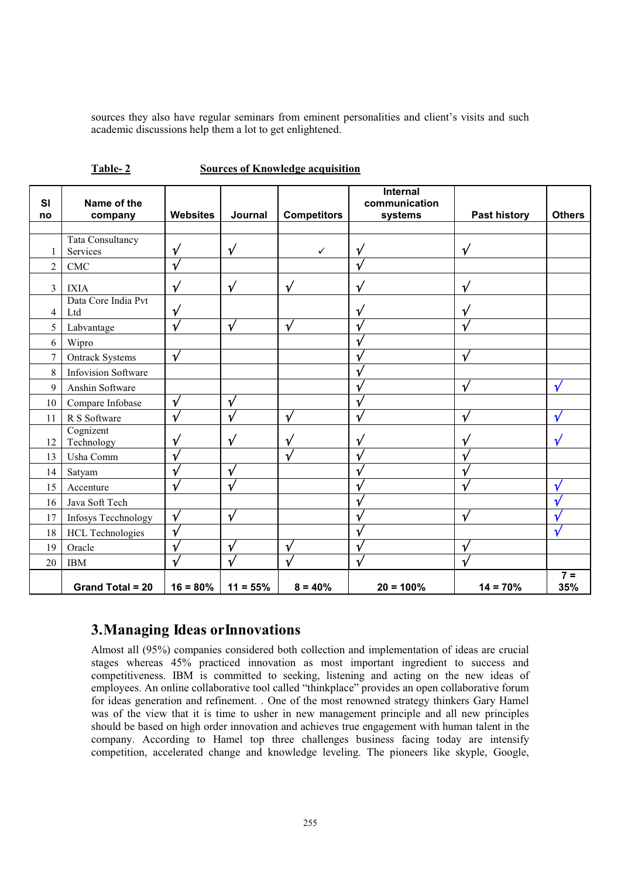sources they also have regular seminars from eminent personalities and client's visits and such academic discussions help them a lot to get enlightened.

| <b>SI</b> | Name of the                  |                 |             |                    | Internal<br>communication |                     |                         |
|-----------|------------------------------|-----------------|-------------|--------------------|---------------------------|---------------------|-------------------------|
| no        | company                      | <b>Websites</b> | Journal     | <b>Competitors</b> | systems                   | <b>Past history</b> | <b>Others</b>           |
|           |                              |                 |             |                    |                           |                     |                         |
| 1         | Tata Consultancy<br>Services | $\mathbf v$     | $\sqrt{ }$  | $\checkmark$       | ν                         | $\sqrt{ }$          |                         |
| 2         | <b>CMC</b>                   |                 |             |                    |                           |                     |                         |
| 3         | <b>IXIA</b>                  | $\mathbf v$     | $\mathbf v$ | $\sqrt{ }$         | υ                         | V                   |                         |
|           | Data Core India Pvt          |                 |             |                    |                           |                     |                         |
| 4         | Ltd                          | $\mathbf v$     |             |                    | ٦                         |                     |                         |
| 5         | Labvantage                   | $\mathbf v$     | $\mathbf v$ | V                  |                           |                     |                         |
| 6         | Wipro                        |                 |             |                    |                           |                     |                         |
| 7         | <b>Ontrack Systems</b>       | $\mathbf v$     |             |                    |                           |                     |                         |
| $8\,$     | <b>Infovision Software</b>   |                 |             |                    |                           |                     |                         |
| 9         | Anshin Software              |                 |             |                    |                           |                     | $\mathbf{v}$            |
| 10        | Compare Infobase             | ν               | $\mathbf v$ |                    |                           |                     |                         |
| 11        | R S Software                 |                 | ٦           | V                  |                           |                     |                         |
|           | Cognizent                    |                 |             |                    |                           |                     |                         |
| 12        | Technology                   |                 | ν           | ν                  |                           |                     |                         |
| 13        | Usha Comm                    |                 |             |                    |                           |                     |                         |
| 14        | Satyam                       |                 | ν           |                    |                           |                     |                         |
| 15        | Accenture                    | $\mathbf v$     | V           |                    |                           |                     |                         |
| 16        | Java Soft Tech               |                 |             |                    |                           |                     |                         |
| 17        | Infosys Tecchnology          | $\mathbf{v}$    | V           |                    |                           |                     |                         |
| 18        | <b>HCL Technologies</b>      |                 |             |                    |                           |                     |                         |
| 19        | Oracle                       | ν               | $\mathbf v$ | ν                  |                           |                     |                         |
| 20        | <b>IBM</b>                   |                 |             |                    |                           |                     |                         |
|           | <b>Grand Total = 20</b>      | $16 = 80%$      | $11 = 55%$  | $8 = 40%$          | $20 = 100%$               | $14 = 70%$          | $\overline{7}$ =<br>35% |

**Table- 2 Sources of Knowledge acquisition**

# **3.Managing Ideas or Innovations**

Almost all (95%) companies considered both collection and implementation of ideas are crucial stages whereas 45% practiced innovation as most important ingredient to success and competitiveness. IBM is committed to seeking, listening and acting on the new ideas of employees. An online collaborative tool called "thinkplace" provides an open collaborative forum for ideas generation and refinement. . One of the most renowned strategy thinkers Gary Hamel was of the view that it is time to usher in new management principle and all new principles should be based on high order innovation and achieves true engagement with human talent in the company. According to Hamel top three challenges business facing today are intensify competition, accelerated change and knowledge leveling. The pioneers like skyple, Google,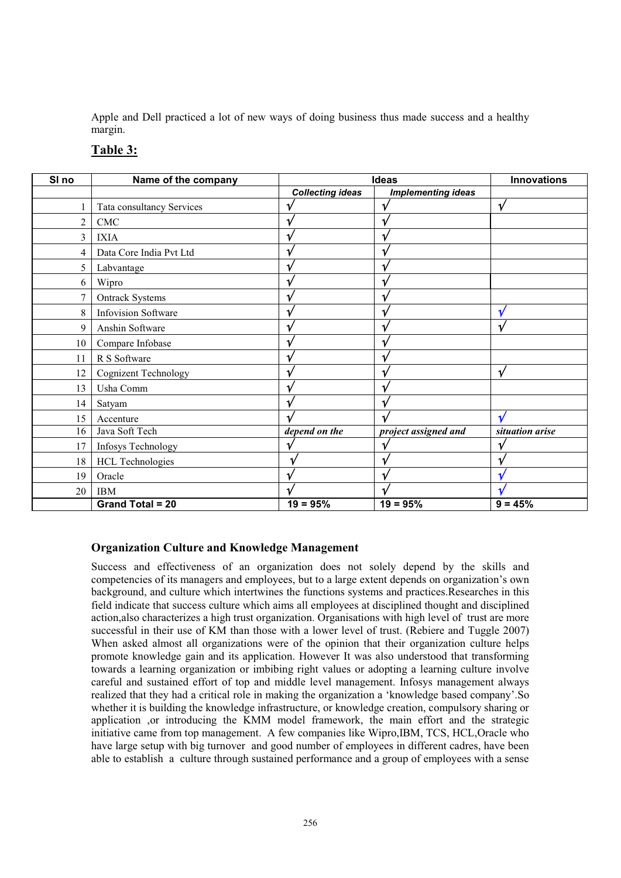Apple and Dell practiced a lot of new ways of doing business thus made success and a healthy margin.

| SI <sub>no</sub> | Name of the company         | <b>Ideas</b>            |                           | Innovations     |  |
|------------------|-----------------------------|-------------------------|---------------------------|-----------------|--|
|                  |                             | <b>Collecting ideas</b> | <b>Implementing ideas</b> |                 |  |
|                  | Tata consultancy Services   |                         |                           |                 |  |
| 2                | CMC                         |                         |                           |                 |  |
| 3                | <b>IXIA</b>                 |                         |                           |                 |  |
| 4                | Data Core India Pvt Ltd     |                         |                           |                 |  |
| 5                | Labvantage                  |                         |                           |                 |  |
| 6                | Wipro                       |                         |                           |                 |  |
| 7                | <b>Ontrack Systems</b>      |                         |                           |                 |  |
| 8                | <b>Infovision Software</b>  |                         |                           |                 |  |
| 9                | Anshin Software             |                         |                           |                 |  |
| 10               | Compare Infobase            |                         |                           |                 |  |
| 11               | R S Software                |                         |                           |                 |  |
| 12               | <b>Cognizent Technology</b> |                         |                           | $\mathbf v$     |  |
| 13               | Usha Comm                   |                         |                           |                 |  |
| 14               | Satyam                      |                         |                           |                 |  |
| 15               | Accenture                   |                         |                           |                 |  |
| 16               | Java Soft Tech              | depend on the           | project assigned and      | situation arise |  |
| 17               | Infosys Technology          |                         |                           |                 |  |
| 18               | <b>HCL Technologies</b>     |                         |                           |                 |  |
| 19               | Oracle                      |                         |                           |                 |  |
| 20               | <b>IBM</b>                  |                         |                           |                 |  |
|                  | <b>Grand Total = 20</b>     | $19 = 95%$              | $19 = 95%$                | $9 = 45%$       |  |

### **Table 3:**

## **Organization Culture and Knowledge Management**

Success and effectiveness of an organization does not solely depend by the skills and competencies of its managers and employees, but to a large extent depends on organization's own background, and culture which intertwines the functions systems and practices.Researches in this field indicate that success culture which aims all employees at disciplined thought and disciplined action,also characterizes a high trust organization. Organisations with high level of trust are more successful in their use of KM than those with a lower level of trust. (Rebiere and Tuggle 2007) When asked almost all organizations were of the opinion that their organization culture helps promote knowledge gain and its application. However It was also understood that transforming towards a learning organization or imbibing right values or adopting a learning culture involve careful and sustained effort of top and middle level management. Infosys management always realized that they had a critical role in making the organization a 'knowledge based company'.So whether it is building the knowledge infrastructure, or knowledge creation, compulsory sharing or application ,or introducing the KMM model framework, the main effort and the strategic initiative came from top management. A few companies like Wipro,IBM, TCS, HCL,Oracle who have large setup with big turnover and good number of employees in different cadres, have been able to establish a culture through sustained performance and a group of employees with a sense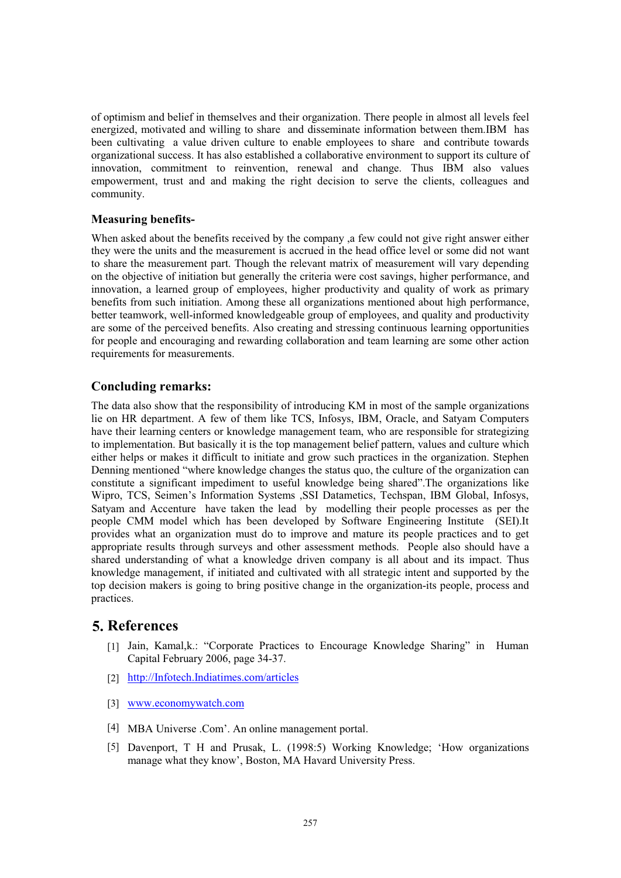of optimism and belief in themselves and their organization. There people in almost all levels feel energized, motivated and willing to share and disseminate information between them.IBM has been cultivating a value driven culture to enable employees to share and contribute towards organizational success. It has also established a collaborative environment to support its culture of innovation, commitment to reinvention, renewal and change. Thus IBM also values empowerment, trust and and making the right decision to serve the clients, colleagues and community.

### **Measuring benefits-**

When asked about the benefits received by the company ,a few could not give right answer either they were the units and the measurement is accrued in the head office level or some did not want to share the measurement part. Though the relevant matrix of measurement will vary depending on the objective of initiation but generally the criteria were cost savings, higher performance, and innovation, a learned group of employees, higher productivity and quality of work as primary benefits from such initiation. Among these all organizations mentioned about high performance, better teamwork, well-informed knowledgeable group of employees, and quality and productivity are some of the perceived benefits. Also creating and stressing continuous learning opportunities for people and encouraging and rewarding collaboration and team learning are some other action requirements for measurements.

## **Concluding remarks:**

The data also show that the responsibility of introducing KM in most of the sample organizations lie on HR department. A few of them like TCS, Infosys, IBM, Oracle, and Satyam Computers have their learning centers or knowledge management team, who are responsible for strategizing to implementation. But basically it is the top management belief pattern, values and culture which either helps or makes it difficult to initiate and grow such practices in the organization. Stephen Denning mentioned "where knowledge changes the status quo, the culture of the organization can constitute a significant impediment to useful knowledge being shared".The organizations like Wipro, TCS, Seimen's Information Systems ,SSI Datametics, Techspan, IBM Global, Infosys, Satyam and Accenture have taken the lead by modelling their people processes as per the people CMM model which has been developed by Software Engineering Institute (SEI).It provides what an organization must do to improve and mature its people practices and to get appropriate results through surveys and other assessment methods. People also should have a shared understanding of what a knowledge driven company is all about and its impact. Thus knowledge management, if initiated and cultivated with all strategic intent and supported by the top decision makers is going to bring positive change in the organization-its people, process and practices.

## **5. References**

- [1] Jain, Kamal,k.: "Corporate Practices to Encourage Knowledge Sharing" in Human Capital February 2006, page 34-37.
- [2] http://Infotech.Indiatimes.com/articles
- [3] www.economywatch.com
- MBA Universe .Com'. An online management portal. [4]
- Davenport, T H and Prusak, L. (1998:5) Working Knowledge; 'How organizations [5] manage what they know', Boston, MA Havard University Press.